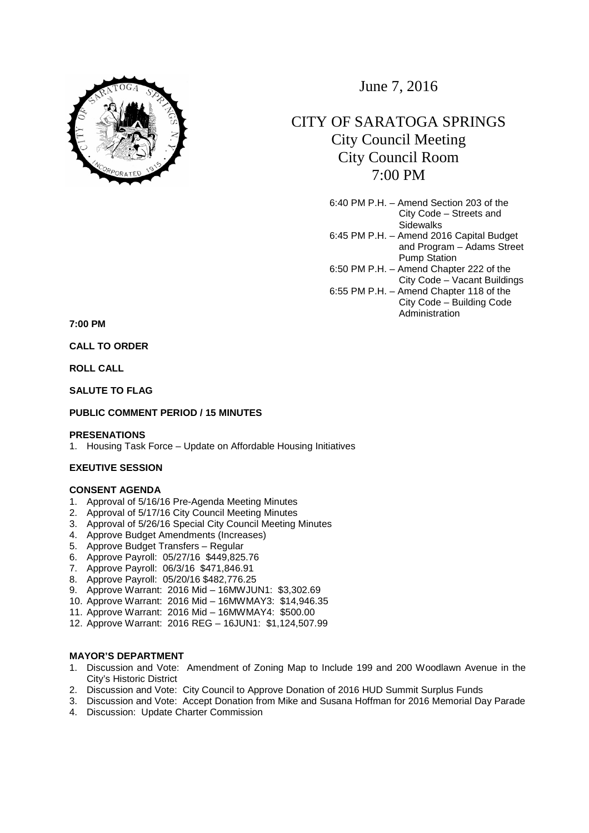

June 7, 2016

# CITY OF SARATOGA SPRINGS City Council Meeting City Council Room 7:00 PM

6:40 PM P.H. – Amend Section 203 of the City Code – Streets and **Sidewalks** 6:45 PM P.H. – Amend 2016 Capital Budget and Program – Adams Street Pump Station 6:50 PM P.H. – Amend Chapter 222 of the City Code – Vacant Buildings 6:55 PM P.H. – Amend Chapter 118 of the City Code – Building Code Administration

**7:00 PM** 

**CALL TO ORDER** 

**ROLL CALL** 

**SALUTE TO FLAG** 

# **PUBLIC COMMENT PERIOD / 15 MINUTES**

#### **PRESENATIONS**

1. Housing Task Force – Update on Affordable Housing Initiatives

## **EXEUTIVE SESSION**

# **CONSENT AGENDA**

- 1. Approval of 5/16/16 Pre-Agenda Meeting Minutes
- 2. Approval of 5/17/16 City Council Meeting Minutes
- 3. Approval of 5/26/16 Special City Council Meeting Minutes
- 4. Approve Budget Amendments (Increases)
- 5. Approve Budget Transfers Regular
- 6. Approve Payroll: 05/27/16 \$449,825.76
- 7. Approve Payroll: 06/3/16 \$471,846.91
- 8. Approve Payroll: 05/20/16 \$482,776.25
- 9. Approve Warrant: 2016 Mid 16MWJUN1: \$3,302.69
- 10. Approve Warrant: 2016 Mid 16MWMAY3: \$14,946.35
- 11. Approve Warrant: 2016 Mid 16MWMAY4: \$500.00
- 12. Approve Warrant: 2016 REG 16JUN1: \$1,124,507.99

# **MAYOR'S DEPARTMENT**

- 1. Discussion and Vote: Amendment of Zoning Map to Include 199 and 200 Woodlawn Avenue in the City's Historic District
- 2. Discussion and Vote: City Council to Approve Donation of 2016 HUD Summit Surplus Funds
- 3. Discussion and Vote: Accept Donation from Mike and Susana Hoffman for 2016 Memorial Day Parade
- 4. Discussion: Update Charter Commission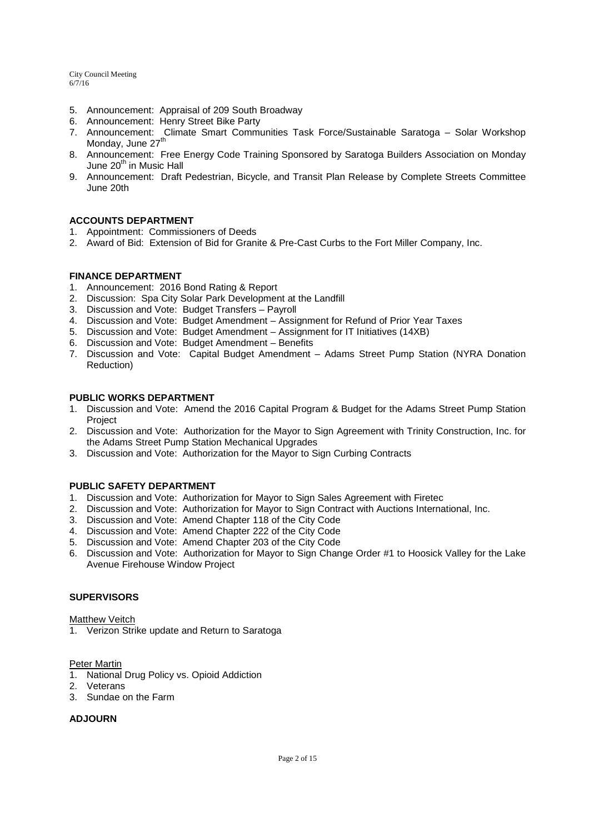- 5. Announcement: Appraisal of 209 South Broadway
- 6. Announcement: Henry Street Bike Party
- 7. Announcement: Climate Smart Communities Task Force/Sustainable Saratoga Solar Workshop Monday, June 27<sup>th</sup>
- 8. Announcement: Free Energy Code Training Sponsored by Saratoga Builders Association on Monday June 20<sup>th</sup> in Music Hall
- 9. Announcement: Draft Pedestrian, Bicycle, and Transit Plan Release by Complete Streets Committee June 20th

# **ACCOUNTS DEPARTMENT**

- 1. Appointment: Commissioners of Deeds
- 2. Award of Bid: Extension of Bid for Granite & Pre-Cast Curbs to the Fort Miller Company, Inc.

## **FINANCE DEPARTMENT**

- 1. Announcement: 2016 Bond Rating & Report
- 2. Discussion: Spa City Solar Park Development at the Landfill
- 3. Discussion and Vote: Budget Transfers Payroll
- 4. Discussion and Vote: Budget Amendment Assignment for Refund of Prior Year Taxes
- 5. Discussion and Vote: Budget Amendment Assignment for IT Initiatives (14XB)
- 6. Discussion and Vote: Budget Amendment Benefits
- 7. Discussion and Vote: Capital Budget Amendment Adams Street Pump Station (NYRA Donation Reduction)

## **PUBLIC WORKS DEPARTMENT**

- 1. Discussion and Vote: Amend the 2016 Capital Program & Budget for the Adams Street Pump Station Project
- 2. Discussion and Vote: Authorization for the Mayor to Sign Agreement with Trinity Construction, Inc. for the Adams Street Pump Station Mechanical Upgrades
- 3. Discussion and Vote: Authorization for the Mayor to Sign Curbing Contracts

## **PUBLIC SAFETY DEPARTMENT**

- 1. Discussion and Vote: Authorization for Mayor to Sign Sales Agreement with Firetec
- 2. Discussion and Vote: Authorization for Mayor to Sign Contract with Auctions International, Inc.
- 3. Discussion and Vote: Amend Chapter 118 of the City Code
- 4. Discussion and Vote: Amend Chapter 222 of the City Code
- 5. Discussion and Vote: Amend Chapter 203 of the City Code
- 6. Discussion and Vote: Authorization for Mayor to Sign Change Order #1 to Hoosick Valley for the Lake Avenue Firehouse Window Project

# **SUPERVISORS**

# **Matthew Veitch**

1. Verizon Strike update and Return to Saratoga

# Peter Martin

- 1. National Drug Policy vs. Opioid Addiction
- 2. Veterans
- 3. Sundae on the Farm

## **ADJOURN**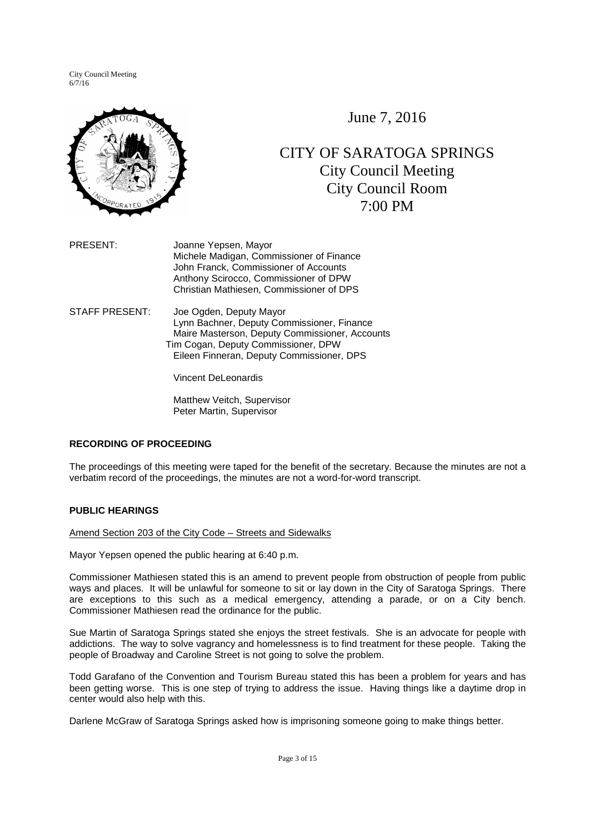

June 7, 2016

# CITY OF SARATOGA SPRINGS City Council Meeting City Council Room 7:00 PM

- PRESENT: Joanne Yepsen, Mayor Michele Madigan, Commissioner of Finance John Franck, Commissioner of Accounts Anthony Scirocco, Commissioner of DPW Christian Mathiesen, Commissioner of DPS
- STAFF PRESENT: Joe Ogden, Deputy Mayor Lynn Bachner, Deputy Commissioner, Finance Maire Masterson, Deputy Commissioner, Accounts Tim Cogan, Deputy Commissioner, DPW Eileen Finneran, Deputy Commissioner, DPS

Vincent DeLeonardis

Matthew Veitch, Supervisor Peter Martin, Supervisor

# **RECORDING OF PROCEEDING**

The proceedings of this meeting were taped for the benefit of the secretary. Because the minutes are not a verbatim record of the proceedings, the minutes are not a word-for-word transcript.

# **PUBLIC HEARINGS**

Amend Section 203 of the City Code – Streets and Sidewalks

Mayor Yepsen opened the public hearing at 6:40 p.m.

Commissioner Mathiesen stated this is an amend to prevent people from obstruction of people from public ways and places. It will be unlawful for someone to sit or lay down in the City of Saratoga Springs. There are exceptions to this such as a medical emergency, attending a parade, or on a City bench. Commissioner Mathiesen read the ordinance for the public.

Sue Martin of Saratoga Springs stated she enjoys the street festivals. She is an advocate for people with addictions. The way to solve vagrancy and homelessness is to find treatment for these people. Taking the people of Broadway and Caroline Street is not going to solve the problem.

Todd Garafano of the Convention and Tourism Bureau stated this has been a problem for years and has been getting worse. This is one step of trying to address the issue. Having things like a daytime drop in center would also help with this.

Darlene McGraw of Saratoga Springs asked how is imprisoning someone going to make things better.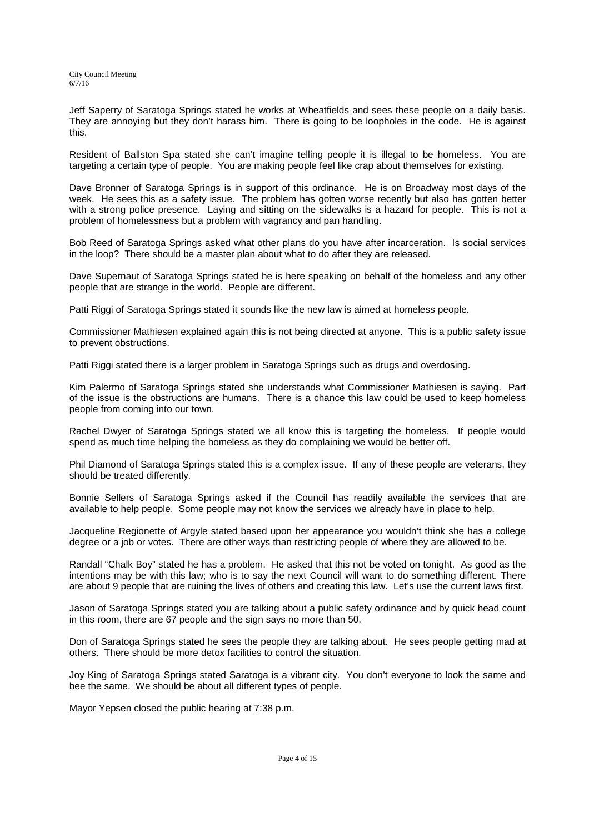Jeff Saperry of Saratoga Springs stated he works at Wheatfields and sees these people on a daily basis. They are annoying but they don't harass him. There is going to be loopholes in the code. He is against this.

Resident of Ballston Spa stated she can't imagine telling people it is illegal to be homeless. You are targeting a certain type of people. You are making people feel like crap about themselves for existing.

Dave Bronner of Saratoga Springs is in support of this ordinance. He is on Broadway most days of the week. He sees this as a safety issue. The problem has gotten worse recently but also has gotten better with a strong police presence. Laying and sitting on the sidewalks is a hazard for people. This is not a problem of homelessness but a problem with vagrancy and pan handling.

Bob Reed of Saratoga Springs asked what other plans do you have after incarceration. Is social services in the loop? There should be a master plan about what to do after they are released.

Dave Supernaut of Saratoga Springs stated he is here speaking on behalf of the homeless and any other people that are strange in the world. People are different.

Patti Riggi of Saratoga Springs stated it sounds like the new law is aimed at homeless people.

Commissioner Mathiesen explained again this is not being directed at anyone. This is a public safety issue to prevent obstructions.

Patti Riggi stated there is a larger problem in Saratoga Springs such as drugs and overdosing.

Kim Palermo of Saratoga Springs stated she understands what Commissioner Mathiesen is saying. Part of the issue is the obstructions are humans. There is a chance this law could be used to keep homeless people from coming into our town.

Rachel Dwyer of Saratoga Springs stated we all know this is targeting the homeless. If people would spend as much time helping the homeless as they do complaining we would be better off.

Phil Diamond of Saratoga Springs stated this is a complex issue. If any of these people are veterans, they should be treated differently.

Bonnie Sellers of Saratoga Springs asked if the Council has readily available the services that are available to help people. Some people may not know the services we already have in place to help.

Jacqueline Regionette of Argyle stated based upon her appearance you wouldn't think she has a college degree or a job or votes. There are other ways than restricting people of where they are allowed to be.

Randall "Chalk Boy" stated he has a problem. He asked that this not be voted on tonight. As good as the intentions may be with this law; who is to say the next Council will want to do something different. There are about 9 people that are ruining the lives of others and creating this law. Let's use the current laws first.

Jason of Saratoga Springs stated you are talking about a public safety ordinance and by quick head count in this room, there are 67 people and the sign says no more than 50.

Don of Saratoga Springs stated he sees the people they are talking about. He sees people getting mad at others. There should be more detox facilities to control the situation.

Joy King of Saratoga Springs stated Saratoga is a vibrant city. You don't everyone to look the same and bee the same. We should be about all different types of people.

Mayor Yepsen closed the public hearing at 7:38 p.m.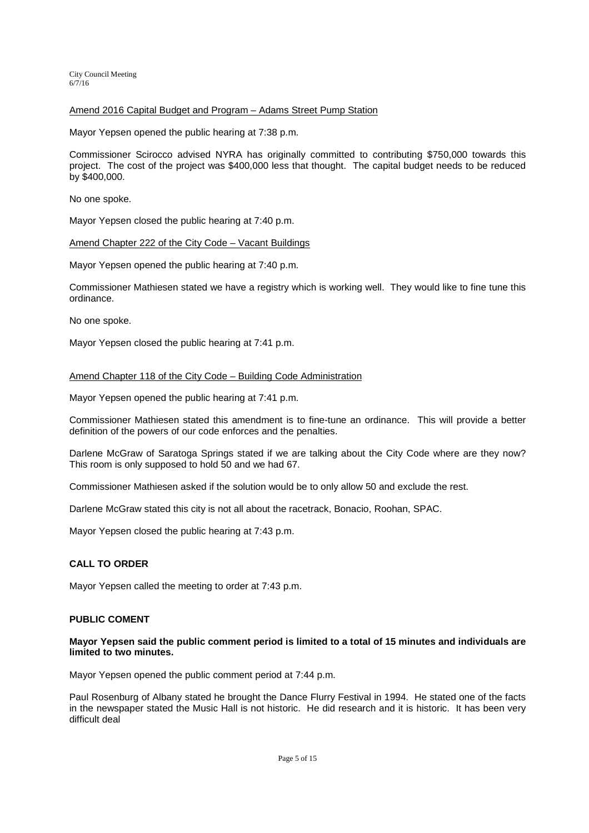## Amend 2016 Capital Budget and Program – Adams Street Pump Station

Mayor Yepsen opened the public hearing at 7:38 p.m.

Commissioner Scirocco advised NYRA has originally committed to contributing \$750,000 towards this project. The cost of the project was \$400,000 less that thought. The capital budget needs to be reduced by \$400,000.

No one spoke.

Mayor Yepsen closed the public hearing at 7:40 p.m.

#### Amend Chapter 222 of the City Code – Vacant Buildings

Mayor Yepsen opened the public hearing at 7:40 p.m.

Commissioner Mathiesen stated we have a registry which is working well. They would like to fine tune this ordinance.

No one spoke.

Mayor Yepsen closed the public hearing at 7:41 p.m.

# Amend Chapter 118 of the City Code – Building Code Administration

Mayor Yepsen opened the public hearing at 7:41 p.m.

Commissioner Mathiesen stated this amendment is to fine-tune an ordinance. This will provide a better definition of the powers of our code enforces and the penalties.

Darlene McGraw of Saratoga Springs stated if we are talking about the City Code where are they now? This room is only supposed to hold 50 and we had 67.

Commissioner Mathiesen asked if the solution would be to only allow 50 and exclude the rest.

Darlene McGraw stated this city is not all about the racetrack, Bonacio, Roohan, SPAC.

Mayor Yepsen closed the public hearing at 7:43 p.m.

## **CALL TO ORDER**

Mayor Yepsen called the meeting to order at 7:43 p.m.

## **PUBLIC COMENT**

## **Mayor Yepsen said the public comment period is limited to a total of 15 minutes and individuals are limited to two minutes.**

Mayor Yepsen opened the public comment period at 7:44 p.m.

Paul Rosenburg of Albany stated he brought the Dance Flurry Festival in 1994. He stated one of the facts in the newspaper stated the Music Hall is not historic. He did research and it is historic. It has been very difficult deal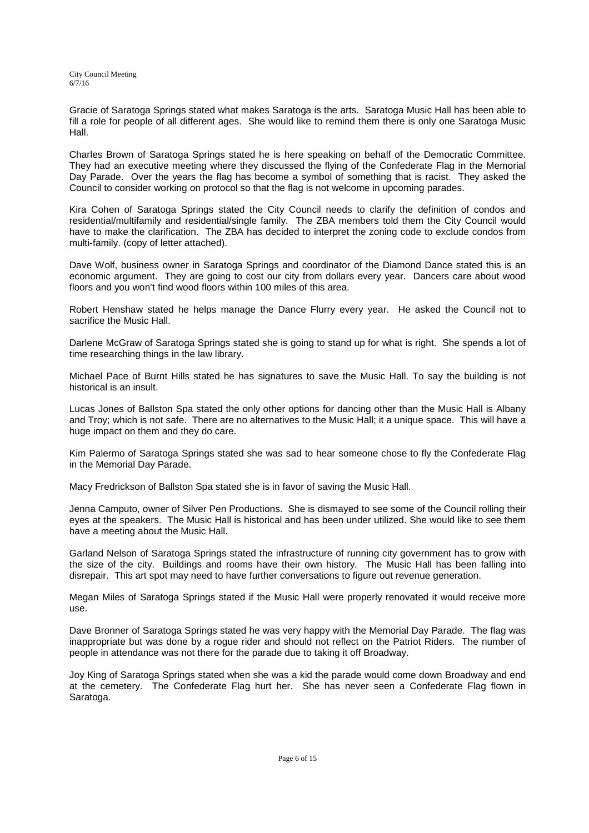Gracie of Saratoga Springs stated what makes Saratoga is the arts. Saratoga Music Hall has been able to fill a role for people of all different ages. She would like to remind them there is only one Saratoga Music Hall.

Charles Brown of Saratoga Springs stated he is here speaking on behalf of the Democratic Committee. They had an executive meeting where they discussed the flying of the Confederate Flag in the Memorial Day Parade. Over the years the flag has become a symbol of something that is racist. They asked the Council to consider working on protocol so that the flag is not welcome in upcoming parades.

Kira Cohen of Saratoga Springs stated the City Council needs to clarify the definition of condos and residential/multifamily and residential/single family. The ZBA members told them the City Council would have to make the clarification. The ZBA has decided to interpret the zoning code to exclude condos from multi-family. (copy of letter attached).

Dave Wolf, business owner in Saratoga Springs and coordinator of the Diamond Dance stated this is an economic argument. They are going to cost our city from dollars every year. Dancers care about wood floors and you won't find wood floors within 100 miles of this area.

Robert Henshaw stated he helps manage the Dance Flurry every year. He asked the Council not to sacrifice the Music Hall.

Darlene McGraw of Saratoga Springs stated she is going to stand up for what is right. She spends a lot of time researching things in the law library.

Michael Pace of Burnt Hills stated he has signatures to save the Music Hall. To say the building is not historical is an insult.

Lucas Jones of Ballston Spa stated the only other options for dancing other than the Music Hall is Albany and Troy; which is not safe. There are no alternatives to the Music Hall; it a unique space. This will have a huge impact on them and they do care.

Kim Palermo of Saratoga Springs stated she was sad to hear someone chose to fly the Confederate Flag in the Memorial Day Parade.

Macy Fredrickson of Ballston Spa stated she is in favor of saving the Music Hall.

Jenna Camputo, owner of Silver Pen Productions. She is dismayed to see some of the Council rolling their eyes at the speakers. The Music Hall is historical and has been under utilized. She would like to see them have a meeting about the Music Hall.

Garland Nelson of Saratoga Springs stated the infrastructure of running city government has to grow with the size of the city. Buildings and rooms have their own history. The Music Hall has been falling into disrepair. This art spot may need to have further conversations to figure out revenue generation.

Megan Miles of Saratoga Springs stated if the Music Hall were properly renovated it would receive more use.

Dave Bronner of Saratoga Springs stated he was very happy with the Memorial Day Parade. The flag was inappropriate but was done by a rogue rider and should not reflect on the Patriot Riders. The number of people in attendance was not there for the parade due to taking it off Broadway.

Joy King of Saratoga Springs stated when she was a kid the parade would come down Broadway and end at the cemetery. The Confederate Flag hurt her. She has never seen a Confederate Flag flown in Saratoga.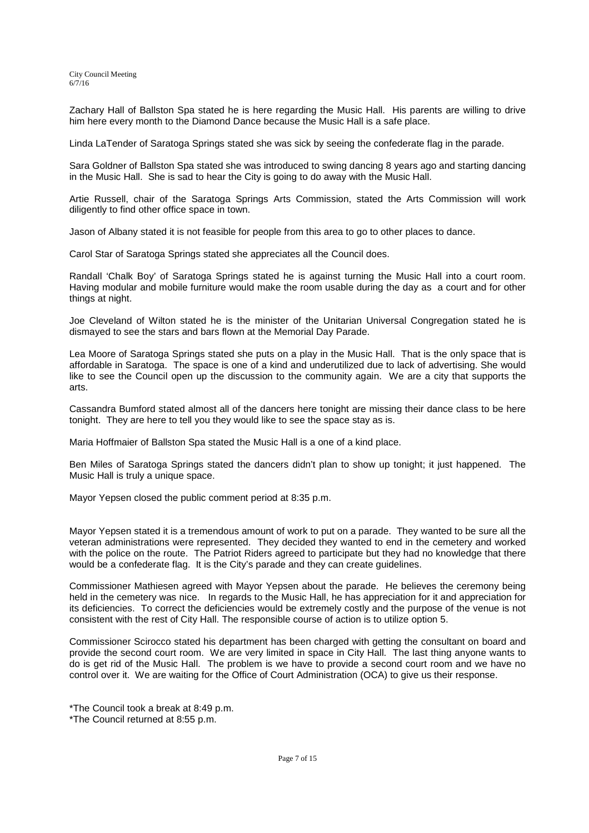Zachary Hall of Ballston Spa stated he is here regarding the Music Hall. His parents are willing to drive him here every month to the Diamond Dance because the Music Hall is a safe place.

Linda LaTender of Saratoga Springs stated she was sick by seeing the confederate flag in the parade.

Sara Goldner of Ballston Spa stated she was introduced to swing dancing 8 years ago and starting dancing in the Music Hall. She is sad to hear the City is going to do away with the Music Hall.

Artie Russell, chair of the Saratoga Springs Arts Commission, stated the Arts Commission will work diligently to find other office space in town.

Jason of Albany stated it is not feasible for people from this area to go to other places to dance.

Carol Star of Saratoga Springs stated she appreciates all the Council does.

Randall 'Chalk Boy' of Saratoga Springs stated he is against turning the Music Hall into a court room. Having modular and mobile furniture would make the room usable during the day as a court and for other things at night.

Joe Cleveland of Wilton stated he is the minister of the Unitarian Universal Congregation stated he is dismayed to see the stars and bars flown at the Memorial Day Parade.

Lea Moore of Saratoga Springs stated she puts on a play in the Music Hall. That is the only space that is affordable in Saratoga. The space is one of a kind and underutilized due to lack of advertising. She would like to see the Council open up the discussion to the community again. We are a city that supports the arts.

Cassandra Bumford stated almost all of the dancers here tonight are missing their dance class to be here tonight. They are here to tell you they would like to see the space stay as is.

Maria Hoffmaier of Ballston Spa stated the Music Hall is a one of a kind place.

Ben Miles of Saratoga Springs stated the dancers didn't plan to show up tonight; it just happened. The Music Hall is truly a unique space.

Mayor Yepsen closed the public comment period at 8:35 p.m.

Mayor Yepsen stated it is a tremendous amount of work to put on a parade. They wanted to be sure all the veteran administrations were represented. They decided they wanted to end in the cemetery and worked with the police on the route. The Patriot Riders agreed to participate but they had no knowledge that there would be a confederate flag. It is the City's parade and they can create guidelines.

Commissioner Mathiesen agreed with Mayor Yepsen about the parade. He believes the ceremony being held in the cemetery was nice. In regards to the Music Hall, he has appreciation for it and appreciation for its deficiencies. To correct the deficiencies would be extremely costly and the purpose of the venue is not consistent with the rest of City Hall. The responsible course of action is to utilize option 5.

Commissioner Scirocco stated his department has been charged with getting the consultant on board and provide the second court room. We are very limited in space in City Hall. The last thing anyone wants to do is get rid of the Music Hall. The problem is we have to provide a second court room and we have no control over it. We are waiting for the Office of Court Administration (OCA) to give us their response.

\*The Council returned at 8:55 p.m.

<sup>\*</sup>The Council took a break at 8:49 p.m.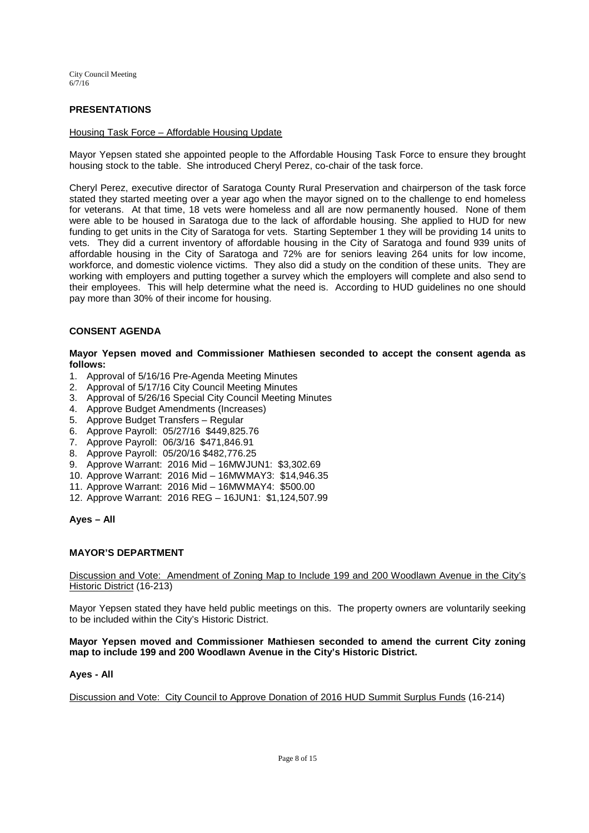# **PRESENTATIONS**

#### Housing Task Force – Affordable Housing Update

Mayor Yepsen stated she appointed people to the Affordable Housing Task Force to ensure they brought housing stock to the table. She introduced Cheryl Perez, co-chair of the task force.

Cheryl Perez, executive director of Saratoga County Rural Preservation and chairperson of the task force stated they started meeting over a year ago when the mayor signed on to the challenge to end homeless for veterans. At that time, 18 vets were homeless and all are now permanently housed. None of them were able to be housed in Saratoga due to the lack of affordable housing. She applied to HUD for new funding to get units in the City of Saratoga for vets. Starting September 1 they will be providing 14 units to vets. They did a current inventory of affordable housing in the City of Saratoga and found 939 units of affordable housing in the City of Saratoga and 72% are for seniors leaving 264 units for low income, workforce, and domestic violence victims. They also did a study on the condition of these units. They are working with employers and putting together a survey which the employers will complete and also send to their employees. This will help determine what the need is. According to HUD guidelines no one should pay more than 30% of their income for housing.

# **CONSENT AGENDA**

**Mayor Yepsen moved and Commissioner Mathiesen seconded to accept the consent agenda as follows:** 

- 1. Approval of 5/16/16 Pre-Agenda Meeting Minutes
- 2. Approval of 5/17/16 City Council Meeting Minutes
- 3. Approval of 5/26/16 Special City Council Meeting Minutes
- 4. Approve Budget Amendments (Increases)
- 5. Approve Budget Transfers Regular
- 6. Approve Payroll: 05/27/16 \$449,825.76
- 7. Approve Payroll: 06/3/16 \$471,846.91
- 8. Approve Payroll: 05/20/16 \$482,776.25
- 9. Approve Warrant: 2016 Mid 16MWJUN1: \$3,302.69
- 10. Approve Warrant: 2016 Mid 16MWMAY3: \$14,946.35
- 11. Approve Warrant: 2016 Mid 16MWMAY4: \$500.00
- 12. Approve Warrant: 2016 REG 16JUN1: \$1,124,507.99

**Ayes – All** 

## **MAYOR'S DEPARTMENT**

## Discussion and Vote: Amendment of Zoning Map to Include 199 and 200 Woodlawn Avenue in the City's Historic District (16-213)

Mayor Yepsen stated they have held public meetings on this. The property owners are voluntarily seeking to be included within the City's Historic District.

#### **Mayor Yepsen moved and Commissioner Mathiesen seconded to amend the current City zoning map to include 199 and 200 Woodlawn Avenue in the City's Historic District.**

#### **Ayes - All**

Discussion and Vote: City Council to Approve Donation of 2016 HUD Summit Surplus Funds (16-214)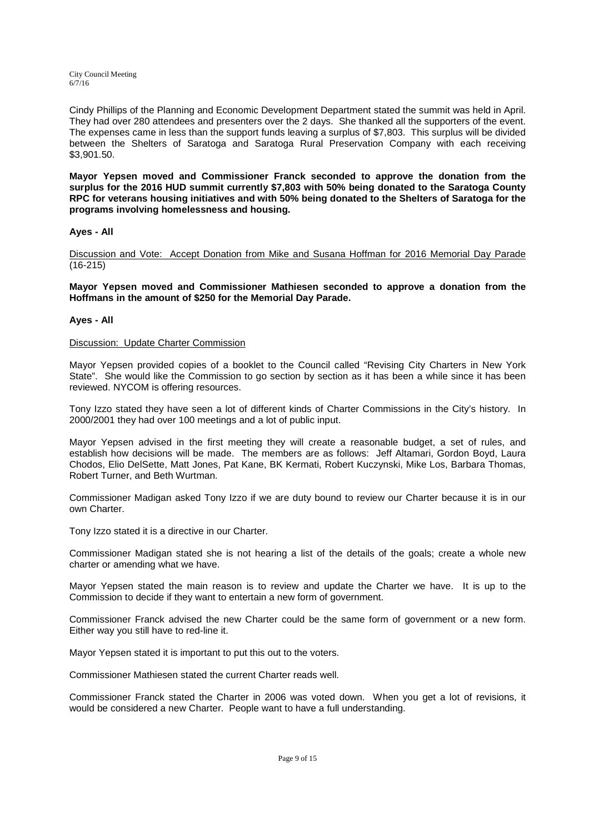Cindy Phillips of the Planning and Economic Development Department stated the summit was held in April. They had over 280 attendees and presenters over the 2 days. She thanked all the supporters of the event. The expenses came in less than the support funds leaving a surplus of \$7,803. This surplus will be divided between the Shelters of Saratoga and Saratoga Rural Preservation Company with each receiving \$3,901.50.

**Mayor Yepsen moved and Commissioner Franck seconded to approve the donation from the surplus for the 2016 HUD summit currently \$7,803 with 50% being donated to the Saratoga County RPC for veterans housing initiatives and with 50% being donated to the Shelters of Saratoga for the programs involving homelessness and housing.** 

# **Ayes - All**

Discussion and Vote: Accept Donation from Mike and Susana Hoffman for 2016 Memorial Day Parade (16-215)

**Mayor Yepsen moved and Commissioner Mathiesen seconded to approve a donation from the Hoffmans in the amount of \$250 for the Memorial Day Parade.** 

## **Ayes - All**

#### Discussion: Update Charter Commission

Mayor Yepsen provided copies of a booklet to the Council called "Revising City Charters in New York State". She would like the Commission to go section by section as it has been a while since it has been reviewed. NYCOM is offering resources.

Tony Izzo stated they have seen a lot of different kinds of Charter Commissions in the City's history. In 2000/2001 they had over 100 meetings and a lot of public input.

Mayor Yepsen advised in the first meeting they will create a reasonable budget, a set of rules, and establish how decisions will be made. The members are as follows: Jeff Altamari, Gordon Boyd, Laura Chodos, Elio DelSette, Matt Jones, Pat Kane, BK Kermati, Robert Kuczynski, Mike Los, Barbara Thomas, Robert Turner, and Beth Wurtman.

Commissioner Madigan asked Tony Izzo if we are duty bound to review our Charter because it is in our own Charter.

Tony Izzo stated it is a directive in our Charter.

Commissioner Madigan stated she is not hearing a list of the details of the goals; create a whole new charter or amending what we have.

Mayor Yepsen stated the main reason is to review and update the Charter we have. It is up to the Commission to decide if they want to entertain a new form of government.

Commissioner Franck advised the new Charter could be the same form of government or a new form. Either way you still have to red-line it.

Mayor Yepsen stated it is important to put this out to the voters.

Commissioner Mathiesen stated the current Charter reads well.

Commissioner Franck stated the Charter in 2006 was voted down. When you get a lot of revisions, it would be considered a new Charter. People want to have a full understanding.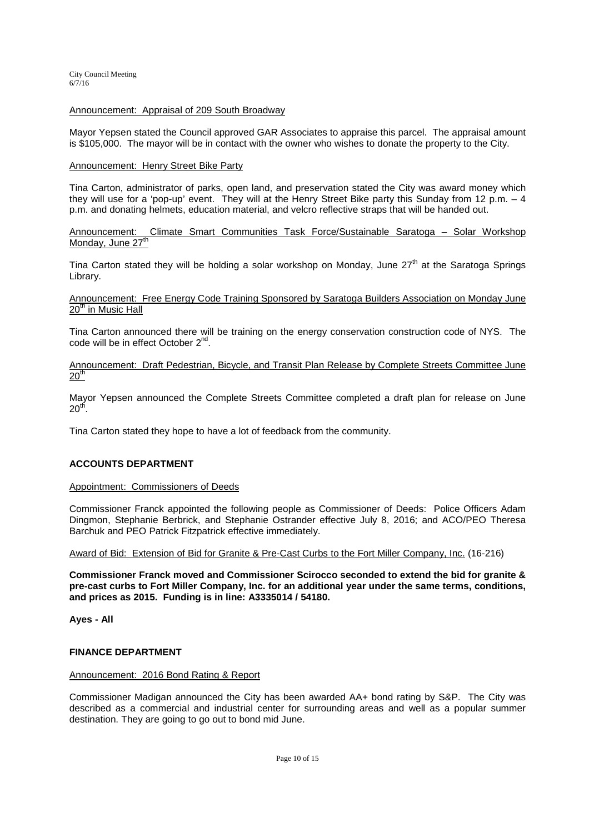# Announcement: Appraisal of 209 South Broadway

Mayor Yepsen stated the Council approved GAR Associates to appraise this parcel. The appraisal amount is \$105,000. The mayor will be in contact with the owner who wishes to donate the property to the City.

#### Announcement: Henry Street Bike Party

Tina Carton, administrator of parks, open land, and preservation stated the City was award money which they will use for a 'pop-up' event. They will at the Henry Street Bike party this Sunday from 12 p.m. – 4 p.m. and donating helmets, education material, and velcro reflective straps that will be handed out.

## Announcement: Climate Smart Communities Task Force/Sustainable Saratoga – Solar Workshop Monday, June 27<sup>th</sup>

Tina Carton stated they will be holding a solar workshop on Monday, June  $27<sup>th</sup>$  at the Saratoga Springs Library.

## Announcement: Free Energy Code Training Sponsored by Saratoga Builders Association on Monday June 20<sup>th</sup> in Music Hall

Tina Carton announced there will be training on the energy conservation construction code of NYS. The code will be in effect October 2<sup>nd</sup>.

## Announcement: Draft Pedestrian, Bicycle, and Transit Plan Release by Complete Streets Committee June  $20<sup>th</sup>$

Mayor Yepsen announced the Complete Streets Committee completed a draft plan for release on June  $20<sup>th</sup>$ .

Tina Carton stated they hope to have a lot of feedback from the community.

## **ACCOUNTS DEPARTMENT**

## Appointment: Commissioners of Deeds

Commissioner Franck appointed the following people as Commissioner of Deeds: Police Officers Adam Dingmon, Stephanie Berbrick, and Stephanie Ostrander effective July 8, 2016; and ACO/PEO Theresa Barchuk and PEO Patrick Fitzpatrick effective immediately.

Award of Bid: Extension of Bid for Granite & Pre-Cast Curbs to the Fort Miller Company, Inc. (16-216)

**Commissioner Franck moved and Commissioner Scirocco seconded to extend the bid for granite & pre-cast curbs to Fort Miller Company, Inc. for an additional year under the same terms, conditions, and prices as 2015. Funding is in line: A3335014 / 54180.** 

**Ayes - All** 

## **FINANCE DEPARTMENT**

#### Announcement: 2016 Bond Rating & Report

Commissioner Madigan announced the City has been awarded AA+ bond rating by S&P. The City was described as a commercial and industrial center for surrounding areas and well as a popular summer destination. They are going to go out to bond mid June.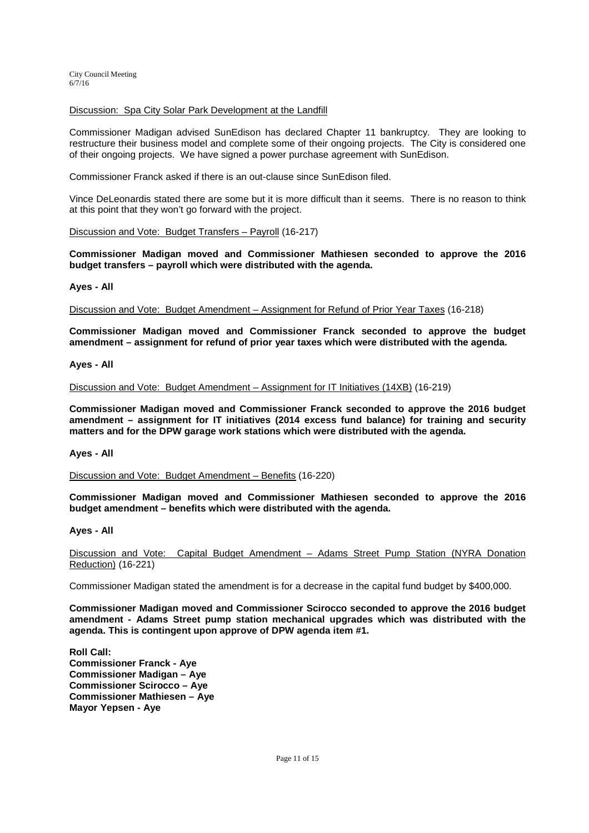## Discussion: Spa City Solar Park Development at the Landfill

Commissioner Madigan advised SunEdison has declared Chapter 11 bankruptcy. They are looking to restructure their business model and complete some of their ongoing projects. The City is considered one of their ongoing projects. We have signed a power purchase agreement with SunEdison.

Commissioner Franck asked if there is an out-clause since SunEdison filed.

Vince DeLeonardis stated there are some but it is more difficult than it seems. There is no reason to think at this point that they won't go forward with the project.

#### Discussion and Vote: Budget Transfers – Payroll (16-217)

**Commissioner Madigan moved and Commissioner Mathiesen seconded to approve the 2016 budget transfers – payroll which were distributed with the agenda.** 

#### **Ayes - All**

Discussion and Vote: Budget Amendment – Assignment for Refund of Prior Year Taxes (16-218)

**Commissioner Madigan moved and Commissioner Franck seconded to approve the budget amendment – assignment for refund of prior year taxes which were distributed with the agenda.** 

## **Ayes - All**

Discussion and Vote: Budget Amendment – Assignment for IT Initiatives (14XB) (16-219)

**Commissioner Madigan moved and Commissioner Franck seconded to approve the 2016 budget amendment – assignment for IT initiatives (2014 excess fund balance) for training and security matters and for the DPW garage work stations which were distributed with the agenda.** 

#### **Ayes - All**

Discussion and Vote: Budget Amendment – Benefits (16-220)

**Commissioner Madigan moved and Commissioner Mathiesen seconded to approve the 2016 budget amendment – benefits which were distributed with the agenda.** 

#### **Ayes - All**

Discussion and Vote: Capital Budget Amendment – Adams Street Pump Station (NYRA Donation Reduction) (16-221)

Commissioner Madigan stated the amendment is for a decrease in the capital fund budget by \$400,000.

**Commissioner Madigan moved and Commissioner Scirocco seconded to approve the 2016 budget amendment - Adams Street pump station mechanical upgrades which was distributed with the agenda. This is contingent upon approve of DPW agenda item #1.** 

**Roll Call: Commissioner Franck - Aye Commissioner Madigan – Aye Commissioner Scirocco – Aye Commissioner Mathiesen – Aye Mayor Yepsen - Aye**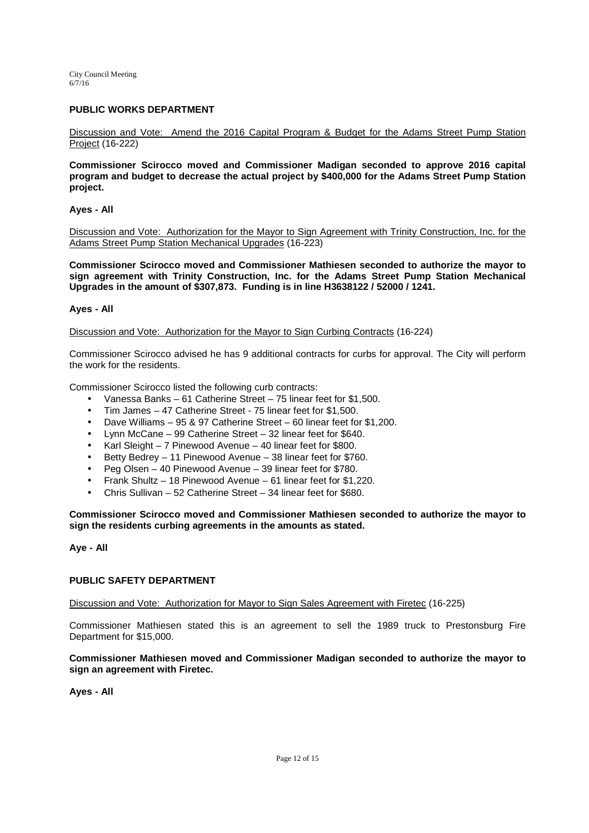## **PUBLIC WORKS DEPARTMENT**

Discussion and Vote: Amend the 2016 Capital Program & Budget for the Adams Street Pump Station Project (16-222)

**Commissioner Scirocco moved and Commissioner Madigan seconded to approve 2016 capital program and budget to decrease the actual project by \$400,000 for the Adams Street Pump Station project.** 

## **Ayes - All**

Discussion and Vote: Authorization for the Mayor to Sign Agreement with Trinity Construction, Inc. for the Adams Street Pump Station Mechanical Upgrades (16-223)

**Commissioner Scirocco moved and Commissioner Mathiesen seconded to authorize the mayor to sign agreement with Trinity Construction, Inc. for the Adams Street Pump Station Mechanical Upgrades in the amount of \$307,873. Funding is in line H3638122 / 52000 / 1241.** 

#### **Ayes - All**

Discussion and Vote: Authorization for the Mayor to Sign Curbing Contracts (16-224)

Commissioner Scirocco advised he has 9 additional contracts for curbs for approval. The City will perform the work for the residents.

Commissioner Scirocco listed the following curb contracts:

- Vanessa Banks 61 Catherine Street 75 linear feet for \$1,500.
- Tim James 47 Catherine Street 75 linear feet for \$1,500.
- Dave Williams 95 & 97 Catherine Street 60 linear feet for \$1,200.
- Lynn McCane 99 Catherine Street 32 linear feet for \$640.
- Karl Sleight 7 Pinewood Avenue 40 linear feet for \$800.
- Betty Bedrey 11 Pinewood Avenue 38 linear feet for \$760.
- Peg Olsen 40 Pinewood Avenue 39 linear feet for \$780.
- Frank Shultz 18 Pinewood Avenue 61 linear feet for \$1,220.
- Chris Sullivan 52 Catherine Street 34 linear feet for \$680.

**Commissioner Scirocco moved and Commissioner Mathiesen seconded to authorize the mayor to sign the residents curbing agreements in the amounts as stated.** 

## **Aye - All**

#### **PUBLIC SAFETY DEPARTMENT**

Discussion and Vote: Authorization for Mayor to Sign Sales Agreement with Firetec (16-225)

Commissioner Mathiesen stated this is an agreement to sell the 1989 truck to Prestonsburg Fire Department for \$15,000.

**Commissioner Mathiesen moved and Commissioner Madigan seconded to authorize the mayor to sign an agreement with Firetec.** 

**Ayes - All**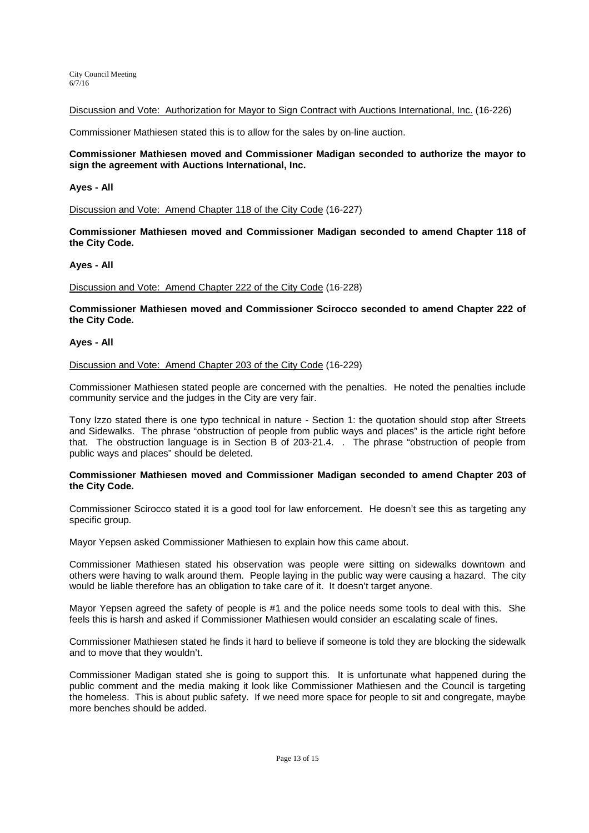Discussion and Vote: Authorization for Mayor to Sign Contract with Auctions International, Inc. (16-226)

Commissioner Mathiesen stated this is to allow for the sales by on-line auction.

#### **Commissioner Mathiesen moved and Commissioner Madigan seconded to authorize the mayor to sign the agreement with Auctions International, Inc.**

#### **Ayes - All**

Discussion and Vote: Amend Chapter 118 of the City Code (16-227)

**Commissioner Mathiesen moved and Commissioner Madigan seconded to amend Chapter 118 of the City Code.** 

#### **Ayes - All**

Discussion and Vote: Amend Chapter 222 of the City Code (16-228)

**Commissioner Mathiesen moved and Commissioner Scirocco seconded to amend Chapter 222 of the City Code.** 

## **Ayes - All**

Discussion and Vote: Amend Chapter 203 of the City Code (16-229)

Commissioner Mathiesen stated people are concerned with the penalties. He noted the penalties include community service and the judges in the City are very fair.

Tony Izzo stated there is one typo technical in nature - Section 1: the quotation should stop after Streets and Sidewalks. The phrase "obstruction of people from public ways and places" is the article right before that. The obstruction language is in Section B of 203-21.4. . The phrase "obstruction of people from public ways and places" should be deleted.

#### **Commissioner Mathiesen moved and Commissioner Madigan seconded to amend Chapter 203 of the City Code.**

Commissioner Scirocco stated it is a good tool for law enforcement. He doesn't see this as targeting any specific group.

Mayor Yepsen asked Commissioner Mathiesen to explain how this came about.

Commissioner Mathiesen stated his observation was people were sitting on sidewalks downtown and others were having to walk around them. People laying in the public way were causing a hazard. The city would be liable therefore has an obligation to take care of it. It doesn't target anyone.

Mayor Yepsen agreed the safety of people is #1 and the police needs some tools to deal with this. She feels this is harsh and asked if Commissioner Mathiesen would consider an escalating scale of fines.

Commissioner Mathiesen stated he finds it hard to believe if someone is told they are blocking the sidewalk and to move that they wouldn't.

Commissioner Madigan stated she is going to support this. It is unfortunate what happened during the public comment and the media making it look like Commissioner Mathiesen and the Council is targeting the homeless. This is about public safety. If we need more space for people to sit and congregate, maybe more benches should be added.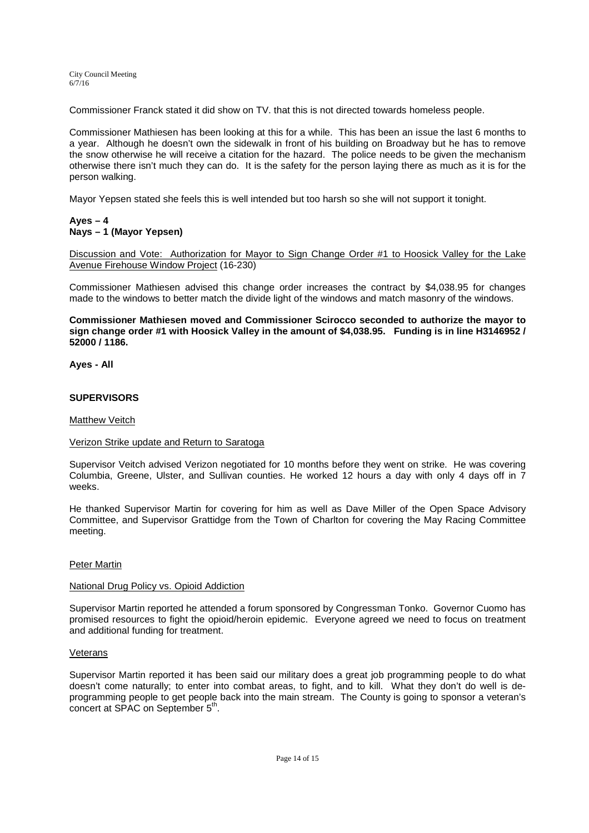Commissioner Franck stated it did show on TV. that this is not directed towards homeless people.

Commissioner Mathiesen has been looking at this for a while. This has been an issue the last 6 months to a year. Although he doesn't own the sidewalk in front of his building on Broadway but he has to remove the snow otherwise he will receive a citation for the hazard. The police needs to be given the mechanism otherwise there isn't much they can do. It is the safety for the person laying there as much as it is for the person walking.

Mayor Yepsen stated she feels this is well intended but too harsh so she will not support it tonight.

# **Ayes – 4 Nays – 1 (Mayor Yepsen)**

Discussion and Vote: Authorization for Mayor to Sign Change Order #1 to Hoosick Valley for the Lake Avenue Firehouse Window Project (16-230)

Commissioner Mathiesen advised this change order increases the contract by \$4,038.95 for changes made to the windows to better match the divide light of the windows and match masonry of the windows.

**Commissioner Mathiesen moved and Commissioner Scirocco seconded to authorize the mayor to sign change order #1 with Hoosick Valley in the amount of \$4,038.95. Funding is in line H3146952 / 52000 / 1186.** 

**Ayes - All** 

# **SUPERVISORS**

## Matthew Veitch

## Verizon Strike update and Return to Saratoga

Supervisor Veitch advised Verizon negotiated for 10 months before they went on strike. He was covering Columbia, Greene, Ulster, and Sullivan counties. He worked 12 hours a day with only 4 days off in 7 weeks.

He thanked Supervisor Martin for covering for him as well as Dave Miller of the Open Space Advisory Committee, and Supervisor Grattidge from the Town of Charlton for covering the May Racing Committee meeting.

## Peter Martin

## National Drug Policy vs. Opioid Addiction

Supervisor Martin reported he attended a forum sponsored by Congressman Tonko. Governor Cuomo has promised resources to fight the opioid/heroin epidemic. Everyone agreed we need to focus on treatment and additional funding for treatment.

## Veterans

Supervisor Martin reported it has been said our military does a great job programming people to do what doesn't come naturally; to enter into combat areas, to fight, and to kill. What they don't do well is deprogramming people to get people back into the main stream. The County is going to sponsor a veteran's concert at SPAC on September 5<sup>th</sup>.